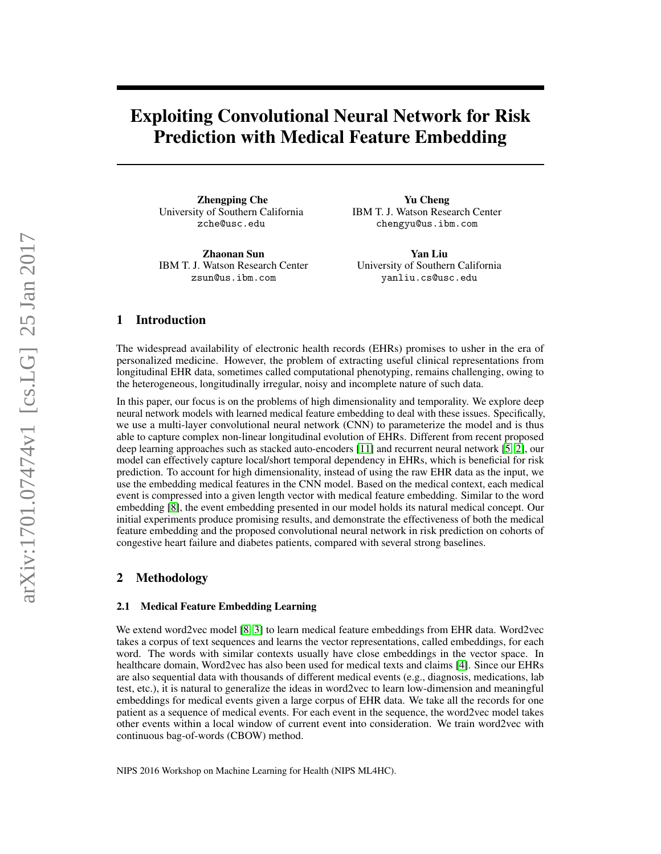# Exploiting Convolutional Neural Network for Risk Prediction with Medical Feature Embedding

Zhengping Che University of Southern California zche@usc.edu

Zhaonan Sun IBM T. J. Watson Research Center zsun@us.ibm.com

Yu Cheng IBM T. J. Watson Research Center chengyu@us.ibm.com

Yan Liu University of Southern California yanliu.cs@usc.edu

# 1 Introduction

The widespread availability of electronic health records (EHRs) promises to usher in the era of personalized medicine. However, the problem of extracting useful clinical representations from longitudinal EHR data, sometimes called computational phenotyping, remains challenging, owing to the heterogeneous, longitudinally irregular, noisy and incomplete nature of such data.

In this paper, our focus is on the problems of high dimensionality and temporality. We explore deep neural network models with learned medical feature embedding to deal with these issues. Specifically, we use a multi-layer convolutional neural network (CNN) to parameterize the model and is thus able to capture complex non-linear longitudinal evolution of EHRs. Different from recent proposed deep learning approaches such as stacked auto-encoders [\[11\]](#page-4-0) and recurrent neural network [\[5,](#page-4-1) [2\]](#page-4-2), our model can effectively capture local/short temporal dependency in EHRs, which is beneficial for risk prediction. To account for high dimensionality, instead of using the raw EHR data as the input, we use the embedding medical features in the CNN model. Based on the medical context, each medical event is compressed into a given length vector with medical feature embedding. Similar to the word embedding [\[8\]](#page-4-3), the event embedding presented in our model holds its natural medical concept. Our initial experiments produce promising results, and demonstrate the effectiveness of both the medical feature embedding and the proposed convolutional neural network in risk prediction on cohorts of congestive heart failure and diabetes patients, compared with several strong baselines.

## 2 Methodology

### <span id="page-0-0"></span>2.1 Medical Feature Embedding Learning

We extend word2vec model [\[8,](#page-4-3) [3\]](#page-4-4) to learn medical feature embeddings from EHR data. Word2vec takes a corpus of text sequences and learns the vector representations, called embeddings, for each word. The words with similar contexts usually have close embeddings in the vector space. In healthcare domain, Word2vec has also been used for medical texts and claims [\[4\]](#page-4-5). Since our EHRs are also sequential data with thousands of different medical events (e.g., diagnosis, medications, lab test, etc.), it is natural to generalize the ideas in word2vec to learn low-dimension and meaningful embeddings for medical events given a large corpus of EHR data. We take all the records for one patient as a sequence of medical events. For each event in the sequence, the word2vec model takes other events within a local window of current event into consideration. We train word2vec with continuous bag-of-words (CBOW) method.

NIPS 2016 Workshop on Machine Learning for Health (NIPS ML4HC).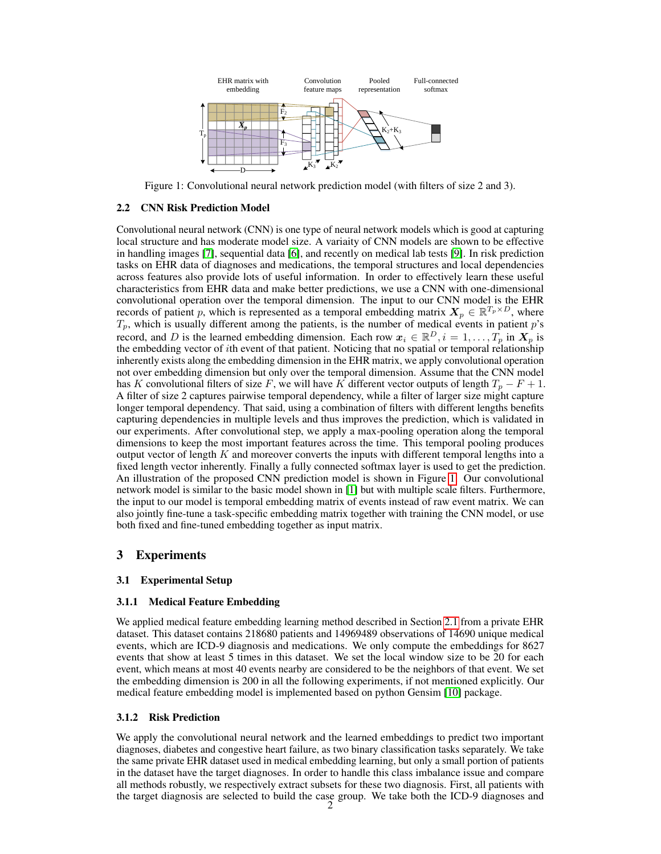

<span id="page-1-0"></span>Figure 1: Convolutional neural network prediction model (with filters of size 2 and 3).

### 2.2 CNN Risk Prediction Model

Convolutional neural network (CNN) is one type of neural network models which is good at capturing local structure and has moderate model size. A variaity of CNN models are shown to be effective in handling images [\[7\]](#page-4-6), sequential data [\[6\]](#page-4-7), and recently on medical lab tests [\[9\]](#page-4-8). In risk prediction tasks on EHR data of diagnoses and medications, the temporal structures and local dependencies across features also provide lots of useful information. In order to effectively learn these useful characteristics from EHR data and make better predictions, we use a CNN with one-dimensional convolutional operation over the temporal dimension. The input to our CNN model is the EHR records of patient p, which is represented as a temporal embedding matrix  $X_p \in \mathbb{R}^{T_p \times D}$ , where  $T_p$ , which is usually different among the patients, is the number of medical events in patient p's record, and D is the learned embedding dimension. Each row  $x_i \in \mathbb{R}^D, i = 1, \ldots, T_p$  in  $X_p$  is the embedding vector of ith event of that patient. Noticing that no spatial or temporal relationship inherently exists along the embedding dimension in the EHR matrix, we apply convolutional operation not over embedding dimension but only over the temporal dimension. Assume that the CNN model has K convolutional filters of size F, we will have K different vector outputs of length  $T_p - F + 1$ . A filter of size 2 captures pairwise temporal dependency, while a filter of larger size might capture longer temporal dependency. That said, using a combination of filters with different lengths benefits capturing dependencies in multiple levels and thus improves the prediction, which is validated in our experiments. After convolutional step, we apply a max-pooling operation along the temporal dimensions to keep the most important features across the time. This temporal pooling produces output vector of length  $K$  and moreover converts the inputs with different temporal lengths into a fixed length vector inherently. Finally a fully connected softmax layer is used to get the prediction. An illustration of the proposed CNN prediction model is shown in Figure [1.](#page-1-0) Our convolutional network model is similar to the basic model shown in [\[1\]](#page-4-9) but with multiple scale filters. Furthermore, the input to our model is temporal embedding matrix of events instead of raw event matrix. We can also jointly fine-tune a task-specific embedding matrix together with training the CNN model, or use both fixed and fine-tuned embedding together as input matrix.

## 3 Experiments

#### 3.1 Experimental Setup

#### 3.1.1 Medical Feature Embedding

We applied medical feature embedding learning method described in Section [2.1](#page-0-0) from a private EHR dataset. This dataset contains 218680 patients and 14969489 observations of 14690 unique medical events, which are ICD-9 diagnosis and medications. We only compute the embeddings for 8627 events that show at least 5 times in this dataset. We set the local window size to be 20 for each event, which means at most 40 events nearby are considered to be the neighbors of that event. We set the embedding dimension is 200 in all the following experiments, if not mentioned explicitly. Our medical feature embedding model is implemented based on python Gensim [\[10\]](#page-4-10) package.

## 3.1.2 Risk Prediction

We apply the convolutional neural network and the learned embeddings to predict two important diagnoses, diabetes and congestive heart failure, as two binary classification tasks separately. We take the same private EHR dataset used in medical embedding learning, but only a small portion of patients in the dataset have the target diagnoses. In order to handle this class imbalance issue and compare all methods robustly, we respectively extract subsets for these two diagnosis. First, all patients with the target diagnosis are selected to build the case group. We take both the ICD-9 diagnoses and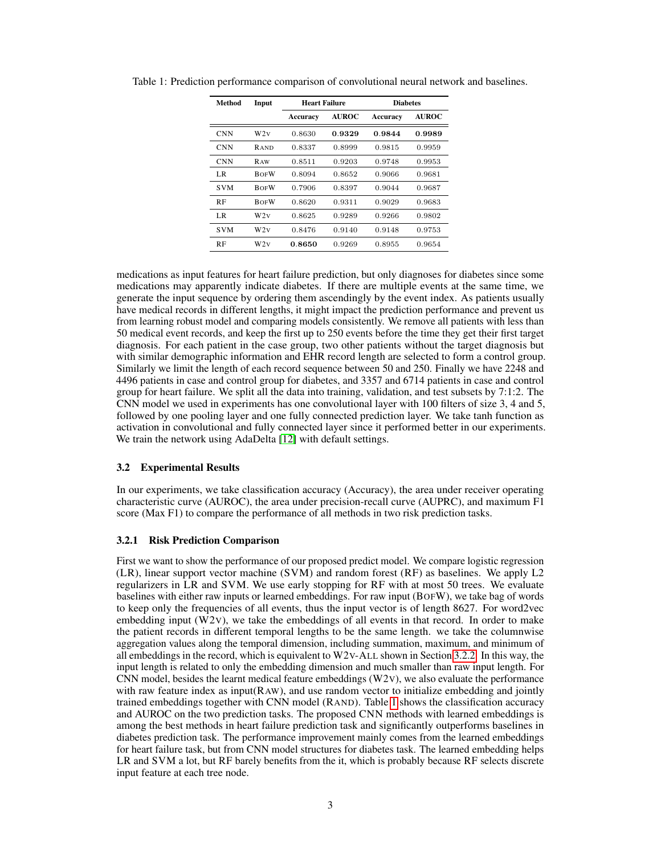| Method     | Input       | <b>Heart Failure</b> |              | <b>Diabetes</b> |              |
|------------|-------------|----------------------|--------------|-----------------|--------------|
|            |             | Accuracy             | <b>AUROC</b> | Accuracy        | <b>AUROC</b> |
| <b>CNN</b> | W2V         | 0.8630               | 0.9329       | 0.9844          | 0.9989       |
| <b>CNN</b> | <b>RAND</b> | 0.8337               | 0.8999       | 0.9815          | 0.9959       |
| <b>CNN</b> | <b>RAW</b>  | 0.8511               | 0.9203       | 0.9748          | 0.9953       |
| LR         | <b>BOFW</b> | 0.8094               | 0.8652       | 0.9066          | 0.9681       |
| <b>SVM</b> | <b>BOFW</b> | 0.7906               | 0.8397       | 0.9044          | 0.9687       |
| RF         | <b>BOFW</b> | 0.8620               | 0.9311       | 0.9029          | 0.9683       |
| LR         | W2v         | 0.8625               | 0.9289       | 0.9266          | 0.9802       |
| <b>SVM</b> | W2V         | 0.8476               | 0.9140       | 0.9148          | 0.9753       |
| RF         | W2v         | 0.8650               | 0.9269       | 0.8955          | 0.9654       |

<span id="page-2-0"></span>Table 1: Prediction performance comparison of convolutional neural network and baselines.

medications as input features for heart failure prediction, but only diagnoses for diabetes since some medications may apparently indicate diabetes. If there are multiple events at the same time, we generate the input sequence by ordering them ascendingly by the event index. As patients usually have medical records in different lengths, it might impact the prediction performance and prevent us from learning robust model and comparing models consistently. We remove all patients with less than 50 medical event records, and keep the first up to 250 events before the time they get their first target diagnosis. For each patient in the case group, two other patients without the target diagnosis but with similar demographic information and EHR record length are selected to form a control group. Similarly we limit the length of each record sequence between 50 and 250. Finally we have 2248 and 4496 patients in case and control group for diabetes, and 3357 and 6714 patients in case and control group for heart failure. We split all the data into training, validation, and test subsets by 7:1:2. The CNN model we used in experiments has one convolutional layer with 100 filters of size 3, 4 and 5, followed by one pooling layer and one fully connected prediction layer. We take tanh function as activation in convolutional and fully connected layer since it performed better in our experiments. We train the network using AdaDelta [\[12\]](#page-4-11) with default settings.

### 3.2 Experimental Results

In our experiments, we take classification accuracy (Accuracy), the area under receiver operating characteristic curve (AUROC), the area under precision-recall curve (AUPRC), and maximum F1 score (Max F1) to compare the performance of all methods in two risk prediction tasks.

### <span id="page-2-1"></span>3.2.1 Risk Prediction Comparison

First we want to show the performance of our proposed predict model. We compare logistic regression (LR), linear support vector machine (SVM) and random forest (RF) as baselines. We apply L2 regularizers in LR and SVM. We use early stopping for RF with at most 50 trees. We evaluate baselines with either raw inputs or learned embeddings. For raw input (BOFW), we take bag of words to keep only the frequencies of all events, thus the input vector is of length 8627. For word2vec embedding input  $(W2V)$ , we take the embeddings of all events in that record. In order to make the patient records in different temporal lengths to be the same length. we take the columnwise aggregation values along the temporal dimension, including summation, maximum, and minimum of all embeddings in the record, which is equivalent to W2V-ALL shown in Section [3.2.2.](#page-3-0) In this way, the input length is related to only the embedding dimension and much smaller than raw input length. For CNN model, besides the learnt medical feature embeddings  $(W2V)$ , we also evaluate the performance with raw feature index as input(RAW), and use random vector to initialize embedding and jointly trained embeddings together with CNN model (RAND). Table [1](#page-2-0) shows the classification accuracy and AUROC on the two prediction tasks. The proposed CNN methods with learned embeddings is among the best methods in heart failure prediction task and significantly outperforms baselines in diabetes prediction task. The performance improvement mainly comes from the learned embeddings for heart failure task, but from CNN model structures for diabetes task. The learned embedding helps LR and SVM a lot, but RF barely benefits from the it, which is probably because RF selects discrete input feature at each tree node.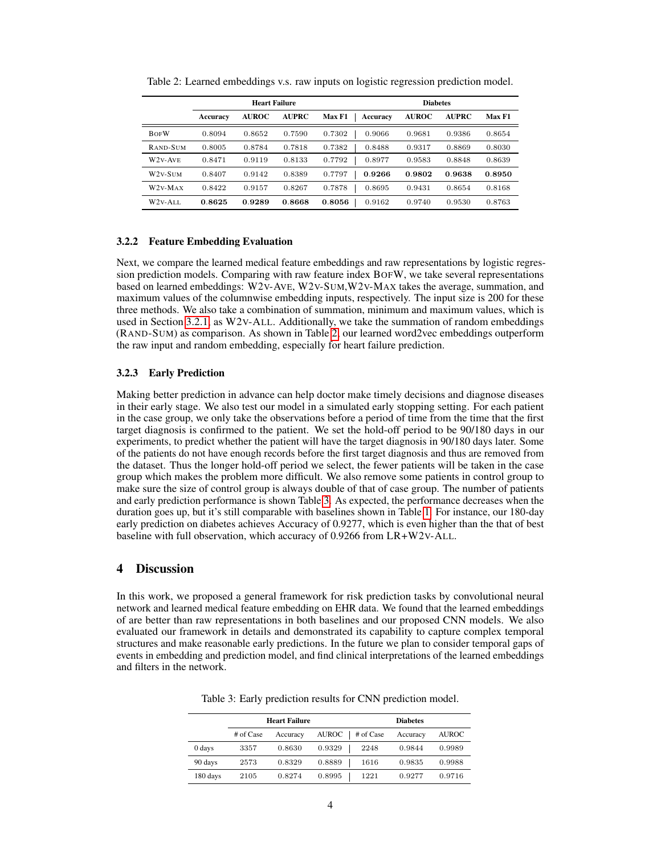|                                  | <b>Heart Failure</b> |              |              |                    | <b>Diabetes</b> |              |        |
|----------------------------------|----------------------|--------------|--------------|--------------------|-----------------|--------------|--------|
|                                  | Accuracy             | <b>AUROC</b> | <b>AUPRC</b> | Max F1<br>Accuracy | <b>AUROC</b>    | <b>AUPRC</b> | Max F1 |
| <b>BOFW</b>                      | 0.8094               | 0.8652       | 0.7590       | 0.7302<br>0.9066   | 0.9681          | 0.9386       | 0.8654 |
| RAND-SUM                         | 0.8005               | 0.8784       | 0.7818       | 0.7382<br>0.8488   | 0.9317          | 0.8869       | 0.8030 |
| W <sub>2</sub> v-A <sub>VE</sub> | 0.8471               | 0.9119       | 0.8133       | 0.7792<br>0.8977   | 0.9583          | 0.8848       | 0.8639 |
| W2v-SUM                          | 0.8407               | 0.9142       | 0.8389       | 0.7797<br>0.9266   | 0.9802          | 0.9638       | 0.8950 |
| $W2v-MAX$                        | 0.8422               | 0.9157       | 0.8267       | 0.7878<br>0.8695   | 0.9431          | 0.8654       | 0.8168 |
| $W2V-ALL$                        | 0.8625               | 0.9289       | 0.8668       | 0.8056<br>0.9162   | 0.9740          | 0.9530       | 0.8763 |

<span id="page-3-1"></span>Table 2: Learned embeddings v.s. raw inputs on logistic regression prediction model.

## <span id="page-3-0"></span>3.2.2 Feature Embedding Evaluation

Next, we compare the learned medical feature embeddings and raw representations by logistic regression prediction models. Comparing with raw feature index BOFW, we take several representations based on learned embeddings: W2V-AVE, W2V-SUM,W2V-MAX takes the average, summation, and maximum values of the columnwise embedding inputs, respectively. The input size is 200 for these three methods. We also take a combination of summation, minimum and maximum values, which is used in Section [3.2.1,](#page-2-1) as W2V-ALL. Additionally, we take the summation of random embeddings (RAND-SUM) as comparison. As shown in Table [2,](#page-3-1) our learned word2vec embeddings outperform the raw input and random embedding, especially for heart failure prediction.

## 3.2.3 Early Prediction

Making better prediction in advance can help doctor make timely decisions and diagnose diseases in their early stage. We also test our model in a simulated early stopping setting. For each patient in the case group, we only take the observations before a period of time from the time that the first target diagnosis is confirmed to the patient. We set the hold-off period to be 90/180 days in our experiments, to predict whether the patient will have the target diagnosis in 90/180 days later. Some of the patients do not have enough records before the first target diagnosis and thus are removed from the dataset. Thus the longer hold-off period we select, the fewer patients will be taken in the case group which makes the problem more difficult. We also remove some patients in control group to make sure the size of control group is always double of that of case group. The number of patients and early prediction performance is shown Table [3.](#page-3-2) As expected, the performance decreases when the duration goes up, but it's still comparable with baselines shown in Table [1.](#page-2-0) For instance, our 180-day early prediction on diabetes achieves Accuracy of 0.9277, which is even higher than the that of best baseline with full observation, which accuracy of 0.9266 from LR+W2V-ALL.

# 4 Discussion

In this work, we proposed a general framework for risk prediction tasks by convolutional neural network and learned medical feature embedding on EHR data. We found that the learned embeddings of are better than raw representations in both baselines and our proposed CNN models. We also evaluated our framework in details and demonstrated its capability to capture complex temporal structures and make reasonable early predictions. In the future we plan to consider temporal gaps of events in embedding and prediction model, and find clinical interpretations of the learned embeddings and filters in the network.

|          |           | <b>Heart Failure</b> |                      | <b>Diabetes</b> |              |  |
|----------|-----------|----------------------|----------------------|-----------------|--------------|--|
|          | # of Case | Accuracy             | AUROC  <br># of Case | Accuracy        | <b>AUROC</b> |  |
| 0 days   | 3357      | 0.8630               | 0.9329<br>2248       | 0.9844          | 0.9989       |  |
| 90 days  | 2573      | 0.8329               | 0.8889<br>1616       | 0.9835          | 0.9988       |  |
| 180 days | 2105      | 0.8274               | 0.8995<br>1221       | 0.9277          | 0.9716       |  |

<span id="page-3-2"></span>Table 3: Early prediction results for CNN prediction model.